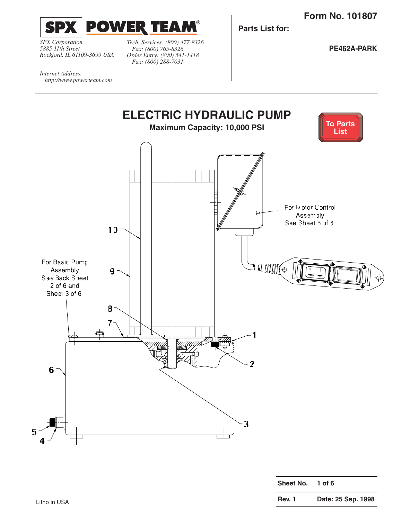<span id="page-0-0"></span>

*SPX Corporation 5885 11th Street Rockford, IL 61109-3699 USA*

*http://www.powerteam.com*

*Internet Address:* 

*Tech. Services: (800) 477-8326 Fax: (800) 765-8326 Order Entry: (800) 541-1418 Fax: (800) 288-7031*

**Parts List for:**

**PE462A-PARK**

**ELECTRIC HYDRAULIC PUMP [To Parts](#page-1-0)  Maximum Capacity: 10,000 PSI List** For Motor Control Assem ply See Sheet 5 of 6. **10** For Basic Pump S ATHHUTO Assembly **9** g See Back Sheet 2 of 6 and Sheet 3 of 6. **8 7 1 2 6 3 5 4**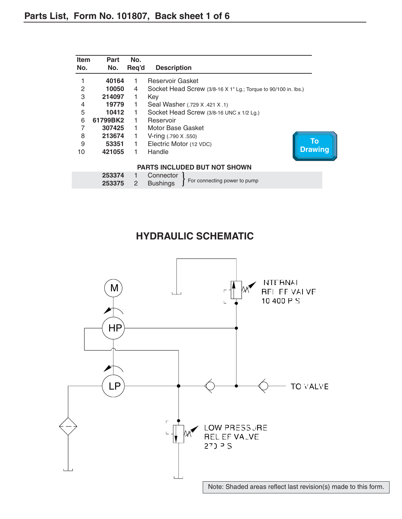<span id="page-1-0"></span>

| <b>Item</b> | Part             | No.   |                                                                |  |  |
|-------------|------------------|-------|----------------------------------------------------------------|--|--|
| No.         | No.              | Reg'd | <b>Description</b>                                             |  |  |
|             | 40164            | 1     | Reservoir Gasket                                               |  |  |
| 2           | 10050            | 4     | Socket Head Screw (3/8-16 X 1" Lg.; Torque to 90/100 in. lbs.) |  |  |
| 3           | 214097           | 1     | Key                                                            |  |  |
| 4           | 19779            | 1     | Seal Washer (.729 X .421 X .1)                                 |  |  |
| 5           | 10412            | 1     | Socket Head Screw (3/8-16 UNC x 1/2 Lg.)                       |  |  |
| 6           | 61799BK2         |       | Reservoir                                                      |  |  |
|             | 307425           | 1     | Motor Base Gasket                                              |  |  |
| 8           | 213674           | 1     | $V\text{-ring}$ (.790 X .550)                                  |  |  |
| 9           | 53351            | 1     | To<br>Electric Motor (12 VDC)                                  |  |  |
| 10          | 421055           |       | <b>Drawing</b><br>Handle                                       |  |  |
|             |                  |       | <b>PARTS INCLUDED BUT NOT SHOWN</b>                            |  |  |
|             | 253374<br>253375 | 2     | Connector<br>For connecting power to pump<br><b>Bushings</b>   |  |  |

### **HYDRAULIC SCHEMATIC**

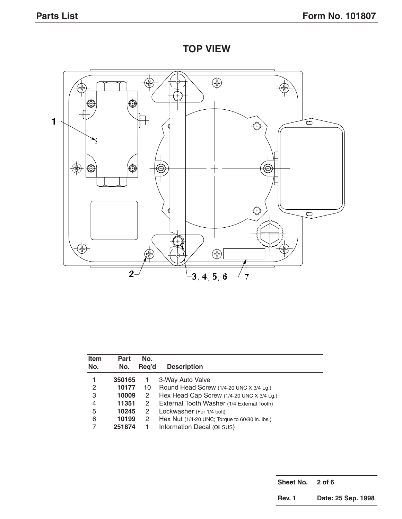**TOP VIEW**



| <b>Item</b> | Part   | No.   |                                                |
|-------------|--------|-------|------------------------------------------------|
| No.         | No.    | Reg'd | <b>Description</b>                             |
|             | 350165 |       | 3-Way Auto Valve                               |
| 2           | 10177  | 10    | Round Head Screw (1/4-20 UNC X 3/4 Lg.)        |
| 3           | 10009  | 2     | Hex Head Cap Screw (1/4-20 UNC X 3/4 Lg.)      |
| 4           | 11351  | 2     | External Tooth Washer (1/4 External Tooth)     |
| 5           | 10245  | 2     | Lockwasher (For 1/4 bolt)                      |
| 6           | 10199  | 2     | Hex Nut (1/4-20 UNC; Torque to 60/80 in. lbs.) |
|             | 251874 |       | Information Decal (Oil SUS)                    |

**Sheet No. 2 of 6 Rev. 1 Date: 25 Sep. 1998**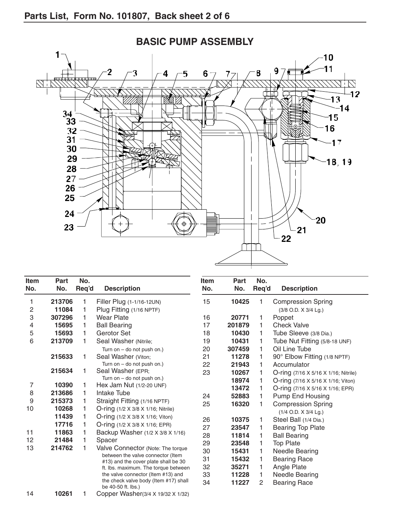

| <b>Item</b><br>No. | <b>Part</b><br>No. | No.<br>Req'd | <b>Description</b>                                                           | <b>Item</b><br>No. | Part<br>No. | No.<br>Req'd | <b>Description</b>                               |
|--------------------|--------------------|--------------|------------------------------------------------------------------------------|--------------------|-------------|--------------|--------------------------------------------------|
| 1                  | 213706             | 1            | Filler Plug (1-1/16-12UN)                                                    | 15                 | 10425       | 1            | <b>Compression Spring</b>                        |
| 2                  | 11084              |              | Plug Fitting (1/16 NPTF)                                                     |                    |             |              | (3/8 O.D. X 3/4 Lg.)                             |
| 3                  | 307296             | 1            | Wear Plate                                                                   | 16                 | 20771       | 1.           | Poppet                                           |
| 4                  | 15695              | 1            | <b>Ball Bearing</b>                                                          | 17                 | 201879      | 1            | <b>Check Valve</b>                               |
| 5                  | 15693              |              | Gerotor Set                                                                  | 18                 | 10430       | 1            | Tube Sleeve (3/8 Dia.)                           |
| 6                  | 213709             |              | Seal Washer (Nitrile;                                                        | 19                 | 10431       | 1            | Tube Nut Fitting (5/8-18 UNF)                    |
|                    |                    |              | Turn on $-$ do not push on.)                                                 | 20                 | 307459      | 1.           | Oil Line Tube                                    |
|                    | 215633             | 1            | Seal Washer (Viton;                                                          | 21                 | 11278       | 1            | 90° Elbow Fitting (1/8 NPTF)                     |
|                    |                    |              | Turn on $-$ do not push on.)                                                 | 22                 | 21943       | 1            | Accumulator                                      |
|                    | 215634             | 1            | Seal Washer (EPR;                                                            | 23                 | 10267       | 1            | O-ring (7/16 X 5/16 X 1/16; Nitrile)             |
|                    |                    |              | Turn on $-$ do not push on.)                                                 |                    | 18974       | 1            | O-ring $(7/16 \times 5/16 \times 1/16)$ ; Viton) |
| 7                  | 10390              | 1            | Hex Jam Nut (1/2-20 UNF)                                                     |                    | 13472       | 1            | O-ring (7/16 X 5/16 X 1/16; EPR)                 |
| 8                  | 213686             | 1            | Intake Tube                                                                  | 24                 | 52883       | 1            | <b>Pump End Housing</b>                          |
| 9                  | 215373             | 1            | Straight Fitting (1/16 NPTF)                                                 | 25                 | 16320       | 1            | <b>Compression Spring</b>                        |
| 10                 | 10268              | 1            | O-ring (1/2 X 3/8 X 1/16; Nitrile)                                           |                    |             |              | (1/4 O.D. X 3/4 Lg.)                             |
|                    | 11439              | 1            | O-ring (1/2 X 3/8 X 1/16; Viton)                                             | 26                 | 10375       | 1            | Steel Ball (1/4 Dia.)                            |
|                    | 17716              |              | O-ring (1/2 X 3/8 X 1/16; EPR)                                               | 27                 | 23547       | 1            | <b>Bearing Top Plate</b>                         |
| 11                 | 11863              |              | Backup Washer (1/2 X 3/8 X 1/16)                                             | 28                 | 11814       | 1            | <b>Ball Bearing</b>                              |
| 12                 | 21484              |              | Spacer                                                                       | 29                 | 23548       | 1            | <b>Top Plate</b>                                 |
| 13                 | 214762             |              | Valve Connector (Note: The torque                                            | 30                 | 15431       | 1            | <b>Needle Bearing</b>                            |
|                    |                    |              | between the valve connector (Item                                            | 31                 | 15432       | 1            | <b>Bearing Race</b>                              |
|                    |                    |              | #13) and the cover plate shall be 30<br>ft. lbs. maximum. The torque between | 32                 | 35271       | 1            | Angle Plate                                      |
|                    |                    |              | the valve connector (Item #13) and                                           | 33                 | 11228       | 1            | <b>Needle Bearing</b>                            |
|                    |                    |              | the check valve body (Item #17) shall<br>be 40-50 ft. lbs.)                  | 34                 | 11227       | 2            | <b>Bearing Race</b>                              |
| 14                 | 10261              | 1            | Copper Washer(3/4 X 19/32 X 1/32)                                            |                    |             |              |                                                  |

## **BASIC PUMP ASSEMBLY**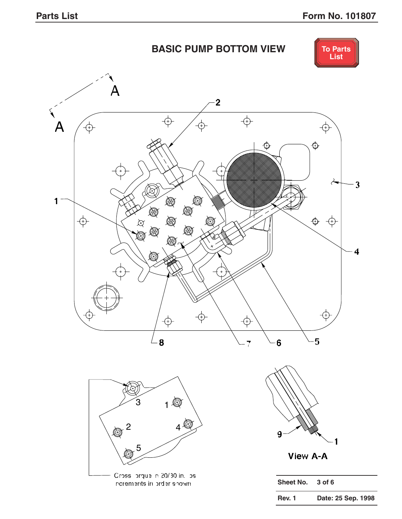# **BASIC PUMP BOTTOM VIEW**



<span id="page-4-0"></span>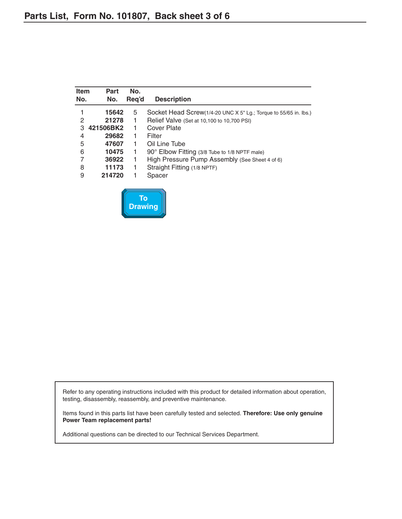**[Drawing](#page-4-0)**

<span id="page-5-0"></span>

| <b>Item</b><br>No. | <b>Part</b><br>No. | No.<br>Reg'd | <b>Description</b>                                               |
|--------------------|--------------------|--------------|------------------------------------------------------------------|
|                    | 15642              | 5            | Socket Head Screw(1/4-20 UNC X 5" Lg.; Torque to 55/65 in. lbs.) |
| 2                  | 21278              | 1            | Relief Valve (Set at 10,100 to 10,700 PSI)                       |
| 3                  | 421506BK2          | 1            | Cover Plate                                                      |
| 4                  | 29682              | 1            | Filter                                                           |
| 5                  | 47607              | 1            | Oil Line Tube                                                    |
| 6                  | 10475              | 1            | 90° Elbow Fitting (3/8 Tube to 1/8 NPTF male)                    |
| 7                  | 36922              | 1            | High Pressure Pump Assembly (See Sheet 4 of 6)                   |
| 8                  | 11173              | 1            | Straight Fitting (1/8 NPTF)                                      |
| 9                  | 214720             | 1            | Spacer                                                           |
|                    |                    | Τо           |                                                                  |

Refer to any operating instructions included with this product for detailed information about operation, testing, disassembly, reassembly, and preventive maintenance.

Items found in this parts list have been carefully tested and selected. **Therefore: Use only genuine Power Team replacement parts!**

Additional questions can be directed to our Technical Services Department.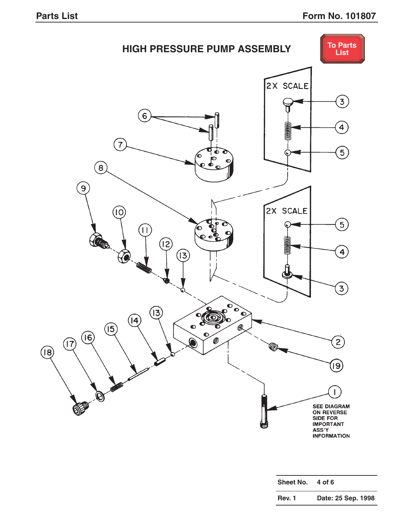<span id="page-6-0"></span>

| Sheet No.     | 4 of 6             |
|---------------|--------------------|
| <b>Rev. 1</b> | Date: 25 Sep. 1998 |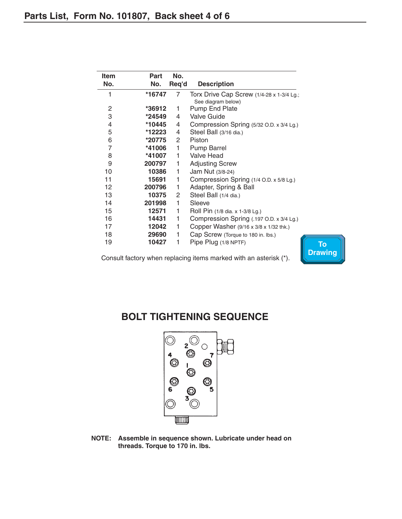<span id="page-7-0"></span>

| Item | Part   | No.                   |                                           |
|------|--------|-----------------------|-------------------------------------------|
| No.  | No.    | Req'd                 | <b>Description</b>                        |
| 1    | *16747 | 7                     | Torx Drive Cap Screw (1/4-28 x 1-3/4 Lg.; |
|      |        |                       | See diagram below)                        |
| 2    | *36912 | 1                     | <b>Pump End Plate</b>                     |
| 3    | *24549 | 4                     | <b>Valve Guide</b>                        |
| 4    | *10445 | 4                     | Compression Spring (5/32 O.D. x 3/4 Lg.)  |
| 5    | *12223 | 4                     | Steel Ball (3/16 dia.)                    |
| 6    | *20775 | $\overline{2}$        | Piston                                    |
| 7    | *41006 | 1                     | Pump Barrel                               |
| 8    | *41007 | 1                     | Valve Head                                |
| 9    | 200797 | 1                     | <b>Adjusting Screw</b>                    |
| 10   | 10386  | 1                     | Jam Nut (3/8-24)                          |
| 11   | 15691  | 1                     | Compression Spring (1/4 O.D. x 5/8 Lg.)   |
| 12   | 200796 | 1                     | Adapter, Spring & Ball                    |
| 13   | 10375  | $\mathbf{2}^{\prime}$ | Steel Ball (1/4 dia.)                     |
| 14   | 201998 | 1                     | Sleeve                                    |
| 15   | 12571  | 1                     | Roll Pin (1/8 dia. x 1-3/8 Lg.)           |
| 16   | 14431  | 1                     | Compression Spring (.197 O.D. x 3/4 Lg.)  |
| 17   | 12042  | 1                     | Copper Washer (9/16 x 3/8 x 1/32 thk.)    |
| 18   | 29690  | 1                     | Cap Screw (Torque to 180 in. lbs.)        |
| 19   | 10427  | 1                     | Pipe Plug (1/8 NPTF)                      |

Consult factory when replacing items marked with an asterisk (\*).



## **BOLT TIGHTENING SEQUENCE**



**NOTE: Assemble in sequence shown. Lubricate under head on threads. Torque to 170 in. lbs.**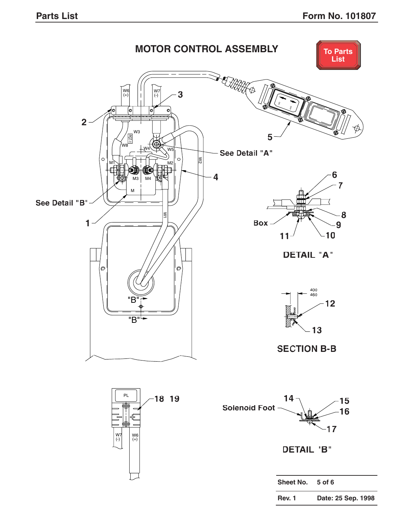<span id="page-8-0"></span>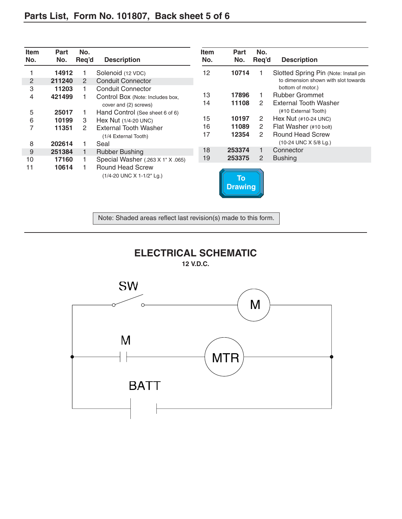<span id="page-9-0"></span>

| <b>Item</b><br>No. | <b>Part</b><br>No. | No.<br>Req'd   | <b>Description</b>                                   | Item<br>No. | <b>Part</b><br>No.                       | No.<br>Req'd   | <b>Description</b>                    |
|--------------------|--------------------|----------------|------------------------------------------------------|-------------|------------------------------------------|----------------|---------------------------------------|
|                    | 14912              |                | Solenoid (12 VDC)                                    | 12          | 10714                                    |                | Slotted Spring Pin (Note: Install pin |
| 2                  | 211240             | $\overline{2}$ | <b>Conduit Connector</b>                             |             |                                          |                | to dimension shown with slot towards  |
| 3                  | 11203              |                | <b>Conduit Connector</b>                             |             |                                          |                | bottom of motor.)                     |
| 4                  | 421499             |                | Control Box (Note: Includes box,                     | 13          | 17896                                    |                | <b>Rubber Grommet</b>                 |
|                    |                    |                | cover and (2) screws)                                | 14          | 11108                                    | 2              | External Tooth Washer                 |
| 5                  | 25017              |                | Hand Control (See sheet 6 of 6)                      |             |                                          |                | (#10 External Tooth)                  |
| 6                  | 10199              | 3              | Hex Nut (1/4-20 UNC)                                 | 15          | 10197                                    | 2              | Hex Nut $(\#10-24$ UNC)               |
| 7                  | 11351              | 2              | <b>External Tooth Washer</b>                         | 16          | 11089                                    | 2              | Flat Washer (#10 bolt)                |
|                    |                    |                | (1/4 External Tooth)                                 | 17          | 12354                                    | 2              | <b>Round Head Screw</b>               |
| 8                  | 202614             |                | Seal                                                 |             |                                          |                | (10-24 UNC X 5/8 Lg.)                 |
| 9                  | 251384             |                | <b>Rubber Bushing</b>                                | 18          | 253374                                   | 1              | Connector                             |
| 10                 | 17160              |                | Special Washer (.263 X 1" X .065)                    | 19          | 253375                                   | $\overline{2}$ | <b>Bushing</b>                        |
| 11                 | 10614              |                | <b>Round Head Screw</b><br>(1/4-20 UNC X 1-1/2" Lg.) |             | $\overline{\text{To}}$<br><b>Drawing</b> |                |                                       |

Note: Shaded areas reflect last revision(s) made to this form.



**12 V.D.C.**